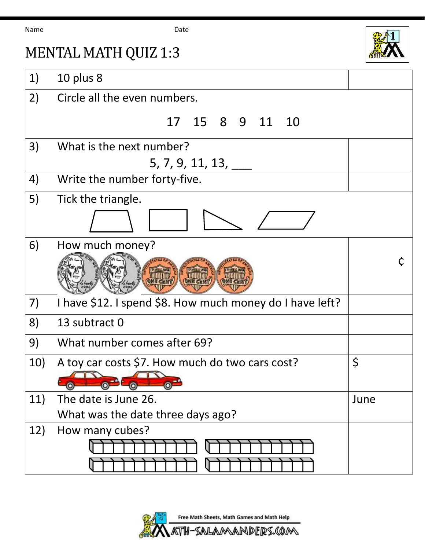Name **Date Date** 

MENTAL MATH QUIZ 1:3





## 1) 10 plus 8 2) Circle all the even numbers. 17 15 8 9 11 10 3) What is the next number? 5, 7, 9, 11, 13, \_\_\_ 4) Write the number forty-five. 5) Tick the triangle. 6) How much money? ¢ 7) I have \$12. I spend \$8. How much money do I have left? 8) 13 subtract 0 9) What number comes after 69? 10) A toy car costs \$7. How much do two cars cost? 11) The date is June 26. What was the date three days ago? June 12) How many cubes?